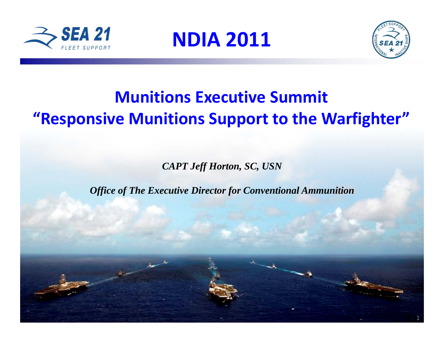





1

# **Munitions Executive Summit "Responsive Munitions Support to the Warfighter"**

*CAPT Jeff Horton, SC, USN* 

*Office of The Executive Director for Conventional Ammunition*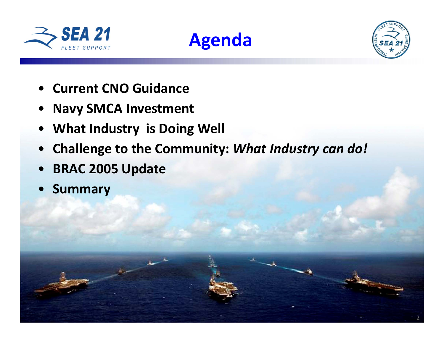





2

- **Current CNO Guidance**
- **Navy SMCA Investment**
- **What Industry is Doing Well**
- **Challenge to the Community:** *What Industry can do!*
- •**BRAC 2005 Update**
- •**Summary**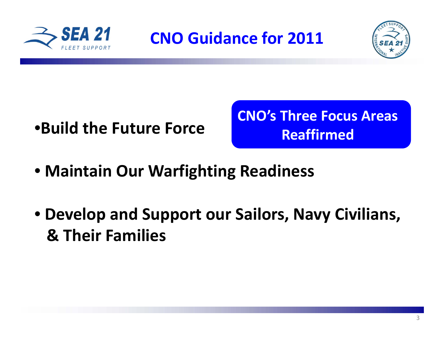

**CNO Guidance for 2011**



### •**Build the Future Force**

**CNO's Three Focus Areas Reaffirmed**

- **Maintain Our Warfighting Readiness**
- **Develop and Support our Sailors, Navy Civilians, & Their Families**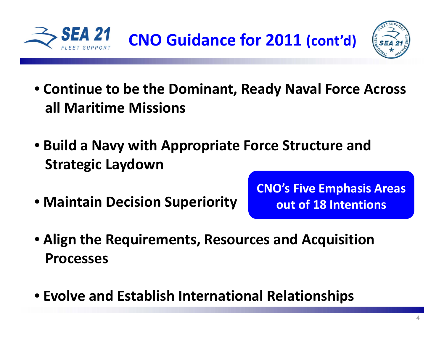



- **Continue to be the Dominant, Ready Naval Force Across all Maritime Missions**
- **Build <sup>a</sup> Navy with Appropriate Force Structure and Strategic Laydown**
- **Maintain Decision Superiority**

**CNO's Five Emphasis Areas out of 18 Intentions**

- **Align the Requirements, Resources and Acquisition Processes**
- **Evolve and Establish International Relationships**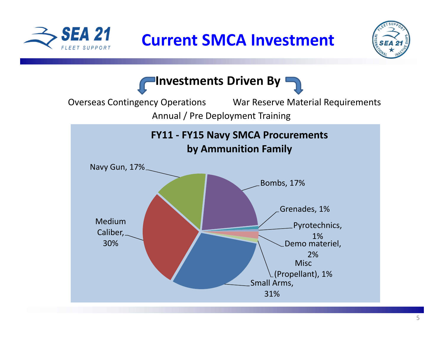

# **Current SMCA Investment**



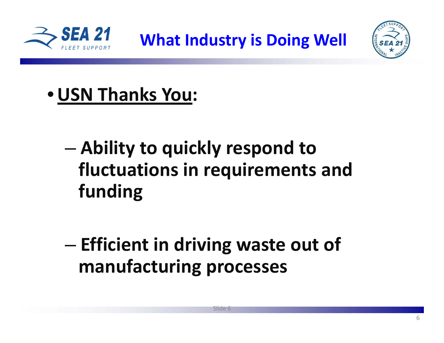





# •**USN Thanks You:**

- $\mathcal{L}_{\mathcal{A}}$  , where  $\mathcal{L}_{\mathcal{A}}$  is the set of the set of the set of the set of the set of the set of the set of the set of the set of the set of the set of the set of the set of the set of the set of the set of the **Ability to quickly respond to fluctuations in requirements and funding**
- $\mathcal{L}_{\mathcal{A}}$  **Efficient in driving waste out of manufacturing processes**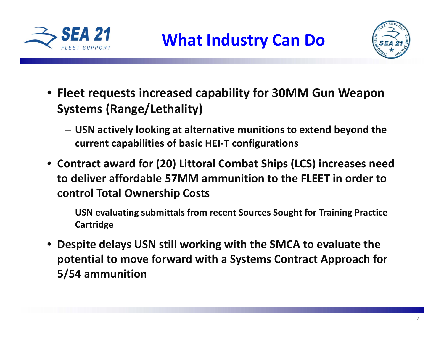



- **Fleet requests increased capability for 30MM Gun Weapon Systems (Range/Lethality)**
	- **USN actively looking at alternative munitions to extend beyond the current capabilities of basic HEI‐T configurations**
- **Contract award for (20) Littoral Combat Ships (LCS) increases need to deliver affordable 57MM ammunition to the FLEET in order to control Total Ownership Costs**
	- **USN evaluating submittals from recent Sources Sought for Training Practice Cartridge**
- **Despite delays USN still working with the SMCA to evaluate the potential to move forward with <sup>a</sup> Systems Contract Approach for 5/54 ammunition**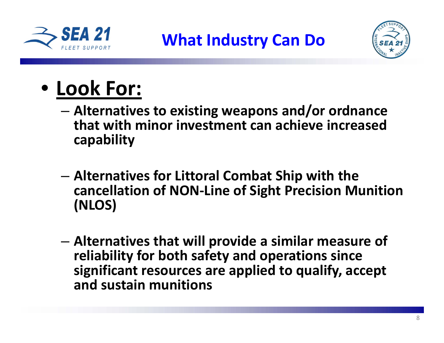



- **Look For:**
	- – **Alternatives to existing weapons and/or ordnance that with minor investment can achieve increased capability**
	- – **Alternatives for Littoral Combat Ship with the cancellation of NON‐Line of Sight Precision Munition (NLOS)**
	- – **Alternatives that will provide <sup>a</sup> similar measure of reliability for both safety and operations since significant resources are applied to qualify, accept and sustain munitions**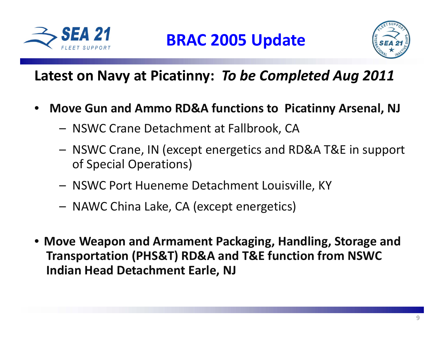



#### **Latest on Navy at Picatinny:** *To be Completed Aug 2011*

- • **Move Gun and Ammo RD&A functions to Picatinny Arsenal, NJ**
	- NSWC Crane Detachment at Fallbrook, CA
	- NSWC Crane, IN (except energetics and RD&A T&E in support of Special Operations)
	- NSWC Port Hueneme Detachment Louisville, KY
	- NAWC China Lake, CA (except energetics)
- **Move Weapon and Armament Packaging, Handling, Storage and Transportation (PHS&T) RD&A and T&E function from NSWC Indian Head Detachment Earle, NJ**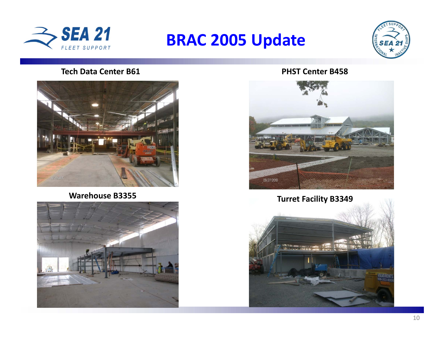

# **BRAC 2005 Update**



#### **Tech Data Center B61 PHST Center B458**



**Warehouse B3355**





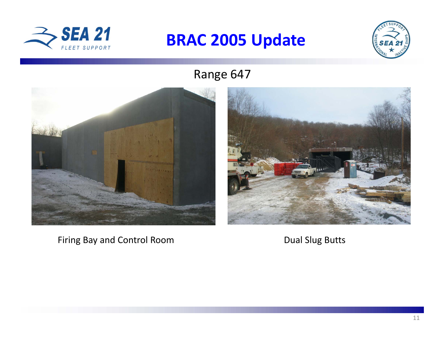

# **BRAC 2005 Update**



Range 647



Firing Bay and Control Room **Dual Slug Butts**